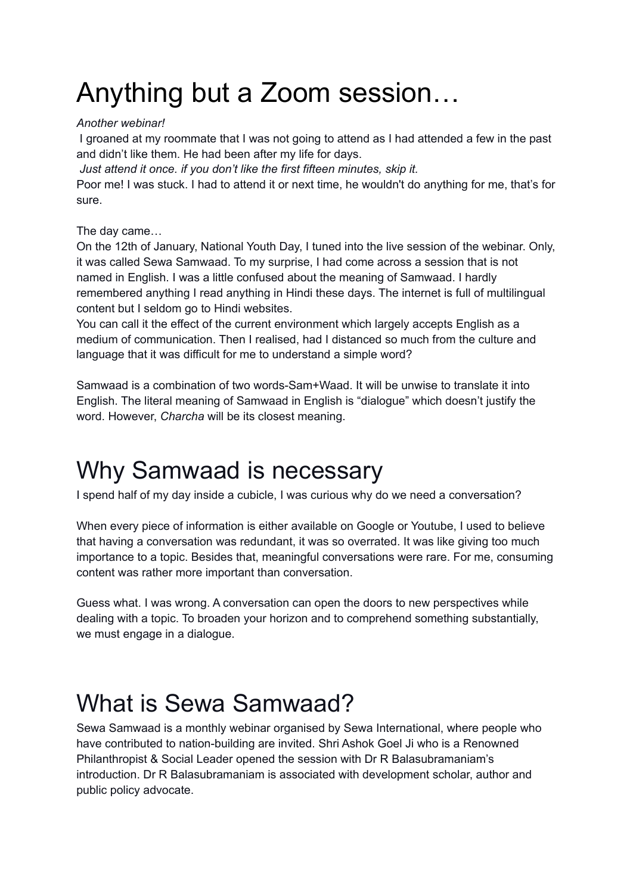# Anything but a Zoom session…

#### *Another webinar!*

I groaned at my roommate that I was not going to attend as I had attended a few in the past and didn't like them. He had been after my life for days.

*Just attend it once. if you don't like the first fifteen minutes, skip it.*

Poor me! I was stuck. I had to attend it or next time, he wouldn't do anything for me, that's for sure.

The day came…

On the 12th of January, National Youth Day, I tuned into the live session of the webinar. Only, it was called Sewa Samwaad. To my surprise, I had come across a session that is not named in English. I was a little confused about the meaning of Samwaad. I hardly remembered anything I read anything in Hindi these days. The internet is full of multilingual content but I seldom go to Hindi websites.

You can call it the effect of the current environment which largely accepts English as a medium of communication. Then I realised, had I distanced so much from the culture and language that it was difficult for me to understand a simple word?

Samwaad is a combination of two words-Sam+Waad. It will be unwise to translate it into English. The literal meaning of Samwaad in English is "dialogue" which doesn't justify the word. However, *Charcha* will be its closest meaning.

## Why Samwaad is necessary

I spend half of my day inside a cubicle, I was curious why do we need a conversation?

When every piece of information is either available on Google or Youtube, I used to believe that having a conversation was redundant, it was so overrated. It was like giving too much importance to a topic. Besides that, meaningful conversations were rare. For me, consuming content was rather more important than conversation.

Guess what. I was wrong. A conversation can open the doors to new perspectives while dealing with a topic. To broaden your horizon and to comprehend something substantially, we must engage in a dialogue.

### What is Sewa Samwaad?

Sewa Samwaad is a monthly webinar organised by Sewa International, where people who have contributed to nation-building are invited. Shri Ashok Goel Ji who is a Renowned Philanthropist & Social Leader opened the session with Dr R Balasubramaniam's introduction. Dr R Balasubramaniam is associated with development scholar, author and public policy advocate.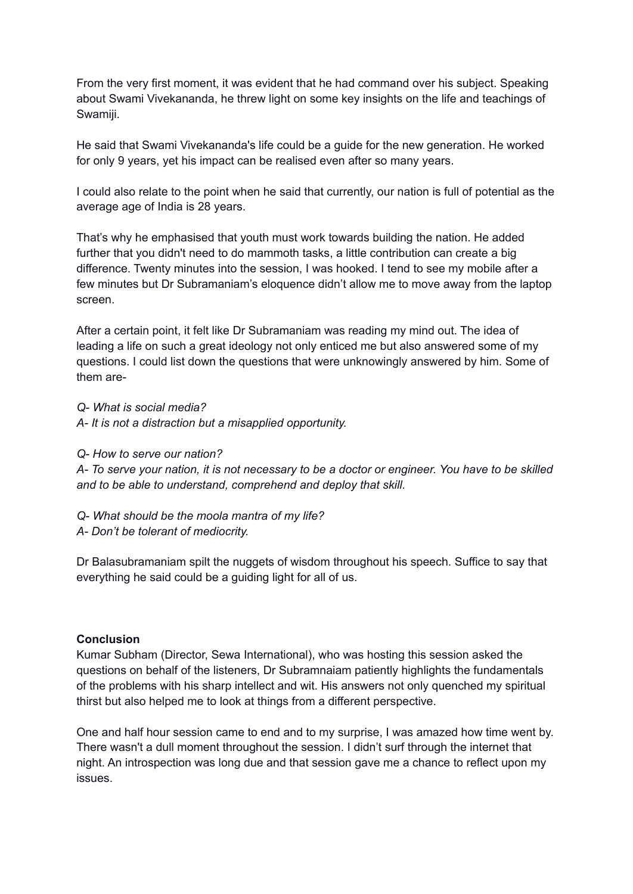From the very first moment, it was evident that he had command over his subject. Speaking about Swami Vivekananda, he threw light on some key insights on the life and teachings of Swamiji.

He said that Swami Vivekananda's life could be a guide for the new generation. He worked for only 9 years, yet his impact can be realised even after so many years.

I could also relate to the point when he said that currently, our nation is full of potential as the average age of India is 28 years.

That's why he emphasised that youth must work towards building the nation. He added further that you didn't need to do mammoth tasks, a little contribution can create a big difference. Twenty minutes into the session, I was hooked. I tend to see my mobile after a few minutes but Dr Subramaniam's eloquence didn't allow me to move away from the laptop screen.

After a certain point, it felt like Dr Subramaniam was reading my mind out. The idea of leading a life on such a great ideology not only enticed me but also answered some of my questions. I could list down the questions that were unknowingly answered by him. Some of them are-

*Q- What is social media? A- It is not a distraction but a misapplied opportunity.*

*Q- How to serve our nation?*

A- To serve your nation, it is not necessary to be a doctor or engineer. You have to be skilled *and to be able to understand, comprehend and deploy that skill.*

*Q- What should be the moola mantra of my life? A- Don't be tolerant of mediocrity.*

Dr Balasubramaniam spilt the nuggets of wisdom throughout his speech. Suffice to say that everything he said could be a guiding light for all of us.

#### **Conclusion**

Kumar Subham (Director, Sewa International), who was hosting this session asked the questions on behalf of the listeners, Dr Subramnaiam patiently highlights the fundamentals of the problems with his sharp intellect and wit. His answers not only quenched my spiritual thirst but also helped me to look at things from a different perspective.

One and half hour session came to end and to my surprise, I was amazed how time went by. There wasn't a dull moment throughout the session. I didn't surf through the internet that night. An introspection was long due and that session gave me a chance to reflect upon my issues.